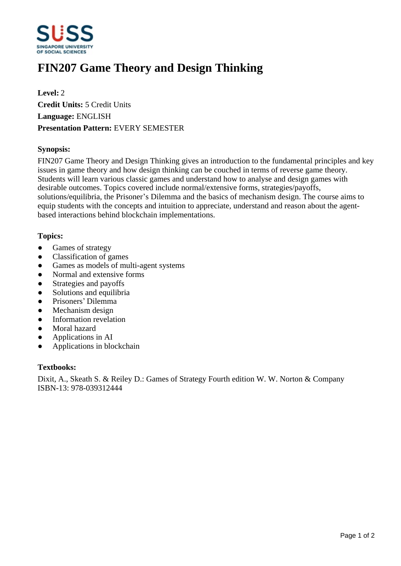

# **FIN207 Game Theory and Design Thinking**

**Level:** 2 **Credit Units:** 5 Credit Units **Language:** ENGLISH **Presentation Pattern:** EVERY SEMESTER

## **Synopsis:**

FIN207 Game Theory and Design Thinking gives an introduction to the fundamental principles and key issues in game theory and how design thinking can be couched in terms of reverse game theory. Students will learn various classic games and understand how to analyse and design games with desirable outcomes. Topics covered include normal/extensive forms, strategies/payoffs, solutions/equilibria, the Prisoner's Dilemma and the basics of mechanism design. The course aims to equip students with the concepts and intuition to appreciate, understand and reason about the agentbased interactions behind blockchain implementations.

#### **Topics:**

- Games of strategy
- Classification of games
- Games as models of multi-agent systems
- Normal and extensive forms
- Strategies and payoffs
- Solutions and equilibria
- Prisoners' Dilemma
- Mechanism design
- Information revelation
- Moral hazard
- Applications in AI
- Applications in blockchain

#### **Textbooks:**

Dixit, A., Skeath S. & Reiley D.: Games of Strategy Fourth edition W. W. Norton & Company ISBN-13: 978-039312444